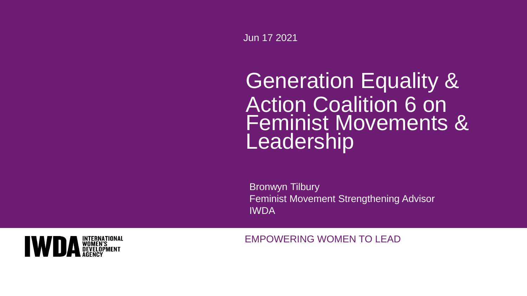Jun 17 2021

# Generation Equality & Action Coalition 6 on Feminist Movements & **Leadership**

Bronwyn Tilbury Feminist Movement Strengthening Advisor IWDA



EMPOWERING WOMEN TO LEAD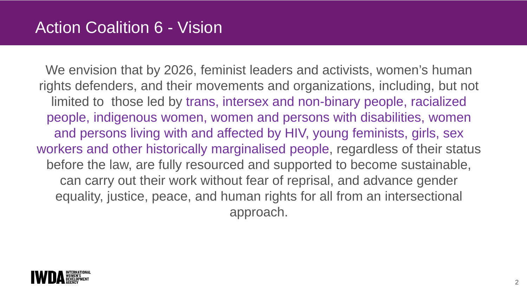### Action Coalition 6 - Vision

We envision that by 2026, feminist leaders and activists, women's human rights defenders, and their movements and organizations, including, but not limited to those led by trans, intersex and non-binary people, racialized people, indigenous women, women and persons with disabilities, women and persons living with and affected by HIV, young feminists, girls, sex workers and other historically marginalised people, regardless of their status before the law, are fully resourced and supported to become sustainable, can carry out their work without fear of reprisal, and advance gender equality, justice, peace, and human rights for all from an intersectional approach.

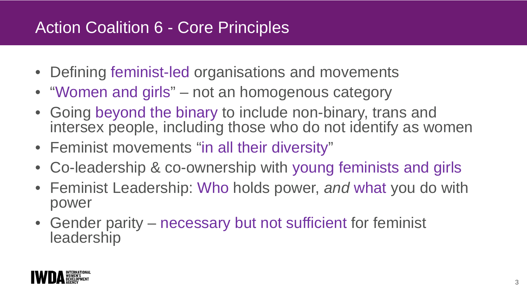# Action Coalition 6 - Core Principles

- Defining feminist-led organisations and movements
- "Women and girls" not an homogenous category
- Going beyond the binary to include non-binary, trans and intersex people, including those who do not identify as women
- Feminist movements "in all their diversity"
- Co-leadership & co-ownership with young feminists and girls
- Feminist Leadership: Who holds power, *and* what you do with power
- Gender parity necessary but not sufficient for feminist leadership

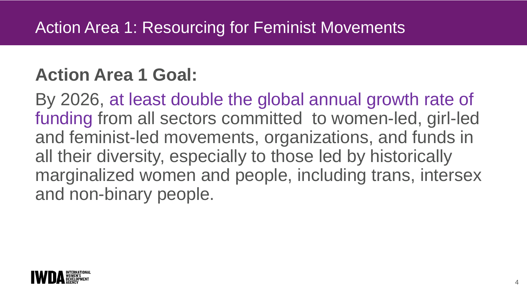# **Action Area 1 Goal:**

By 2026, at least double the global annual growth rate of funding from all sectors committed to women-led, girl-led and feminist-led movements, organizations, and funds in all their diversity, especially to those led by historically marginalized women and people, including trans, intersex and non-binary people.

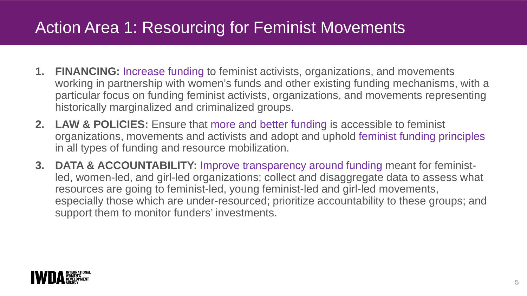# Action Area 1: Resourcing for Feminist Movements

- **1. FINANCING:** Increase funding to feminist activists, organizations, and movements working in partnership with women's funds and other existing funding mechanisms, with a particular focus on funding feminist activists, organizations, and movements representing historically marginalized and criminalized groups.
- **2. LAW & POLICIES:** Ensure that more and better funding is accessible to feminist organizations, movements and activists and adopt and uphold feminist funding principles in all types of funding and resource mobilization.
- **3. DATA & ACCOUNTABILITY:** Improve transparency around funding meant for feministled, women-led, and girl-led organizations; collect and disaggregate data to assess what resources are going to feminist-led, young feminist-led and girl-led movements, especially those which are under-resourced; prioritize accountability to these groups; and support them to monitor funders' investments.

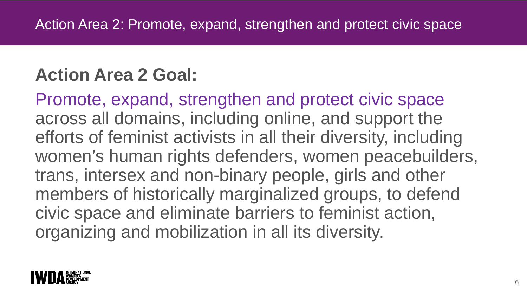# **Action Area 2 Goal:**

Promote, expand, strengthen and protect civic space across all domains, including online, and support the efforts of feminist activists in all their diversity, including women's human rights defenders, women peacebuilders, trans, intersex and non-binary people, girls and other members of historically marginalized groups, to defend civic space and eliminate barriers to feminist action, organizing and mobilization in all its diversity.

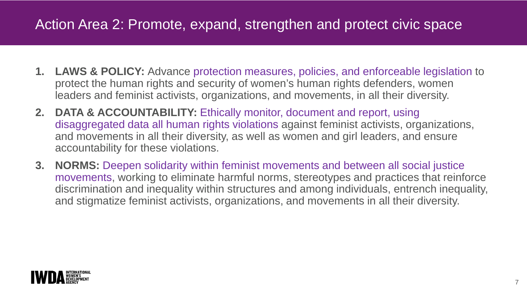### Action Area 2: Promote, expand, strengthen and protect civic space

- **1. LAWS & POLICY:** Advance protection measures, policies, and enforceable legislation to protect the human rights and security of women's human rights defenders, women leaders and feminist activists, organizations, and movements, in all their diversity.
- **2. DATA & ACCOUNTABILITY:** Ethically monitor, document and report, using disaggregated data all human rights violations against feminist activists, organizations, and movements in all their diversity, as well as women and girl leaders, and ensure accountability for these violations.
- **3. NORMS:** Deepen solidarity within feminist movements and between all social justice movements, working to eliminate harmful norms, stereotypes and practices that reinforce discrimination and inequality within structures and among individuals, entrench inequality, and stigmatize feminist activists, organizations, and movements in all their diversity.

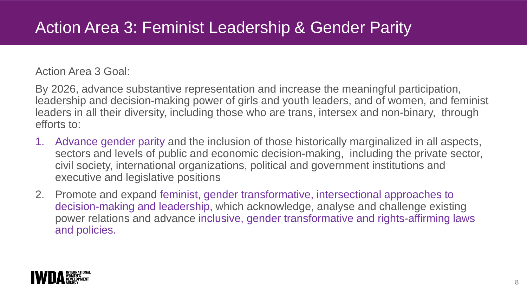#### Action Area 3 Goal:

By 2026, advance substantive representation and increase the meaningful participation, leadership and decision-making power of girls and youth leaders, and of women, and feminist leaders in all their diversity, including those who are trans, intersex and non-binary, through efforts to:

- 1. Advance gender parity and the inclusion of those historically marginalized in all aspects, sectors and levels of public and economic decision-making, including the private sector, civil society, international organizations, political and government institutions and executive and legislative positions
- 2. Promote and expand feminist, gender transformative, intersectional approaches to decision-making and leadership, which acknowledge, analyse and challenge existing power relations and advance inclusive, gender transformative and rights-affirming laws and policies.

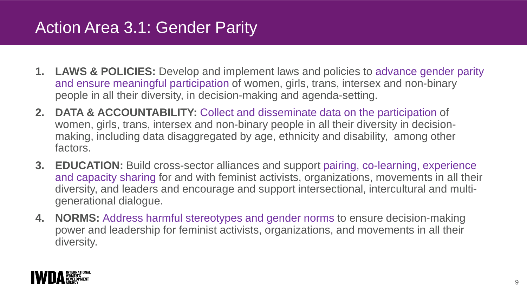## Action Area 3.1: Gender Parity

- **1. LAWS & POLICIES:** Develop and implement laws and policies to advance gender parity and ensure meaningful participation of women, girls, trans, intersex and non-binary people in all their diversity, in decision-making and agenda-setting.
- **2. DATA & ACCOUNTABILITY:** Collect and disseminate data on the participation of women, girls, trans, intersex and non-binary people in all their diversity in decisionmaking, including data disaggregated by age, ethnicity and disability, among other factors.
- **3. EDUCATION:** Build cross-sector alliances and support pairing, co-learning, experience and capacity sharing for and with feminist activists, organizations, movements in all their diversity, and leaders and encourage and support intersectional, intercultural and multigenerational dialogue.
- **4. NORMS:** Address harmful stereotypes and gender norms to ensure decision-making power and leadership for feminist activists, organizations, and movements in all their diversity.

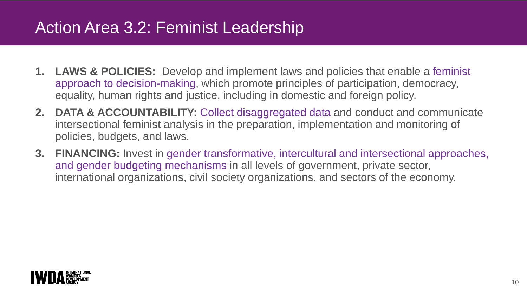# Action Area 3.2: Feminist Leadership

- **1. LAWS & POLICIES:** Develop and implement laws and policies that enable a feminist approach to decision-making, which promote principles of participation, democracy, equality, human rights and justice, including in domestic and foreign policy.
- **2. DATA & ACCOUNTABILITY:** Collect disaggregated data and conduct and communicate intersectional feminist analysis in the preparation, implementation and monitoring of policies, budgets, and laws.
- **3. FINANCING:** Invest in gender transformative, intercultural and intersectional approaches, and gender budgeting mechanisms in all levels of government, private sector, international organizations, civil society organizations, and sectors of the economy.

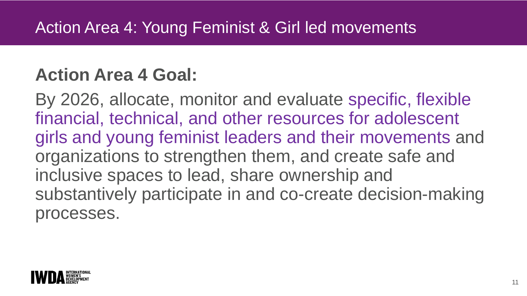# **Action Area 4 Goal:**

By 2026, allocate, monitor and evaluate specific, flexible financial, technical, and other resources for adolescent girls and young feminist leaders and their movements and organizations to strengthen them, and create safe and inclusive spaces to lead, share ownership and substantively participate in and co-create decision-making processes.